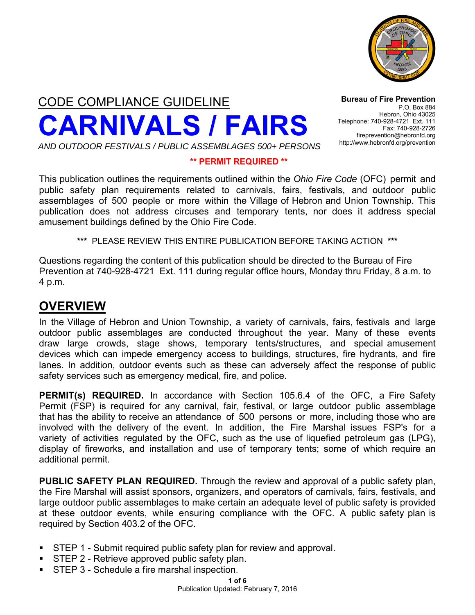

CODE COMPLIANCE GUIDELINE **CARNIVALS / FAIRS**

**Bureau of Fire Prevention** P.O. Box 884 Hebron, Ohio 43025 Telephone: 740-928-4721 Ext. 111 Fax: 740-928-2726 fireprevention@hebronfd.org http://www.hebronfd.org/prevention

#### *AND OUTDOOR FESTIVALS / PUBLIC ASSEMBLAGES 500+ PERSONS*

#### **\*\* PERMIT REQUIRED \*\***

This publication outlines the requirements outlined within the *Ohio Fire Code* (OFC) permit and public safety plan requirements related to carnivals, fairs, festivals, and outdoor public assemblages of 500 people or more within the Village of Hebron and Union Township. This publication does not address circuses and temporary tents, nor does it address special amusement buildings defined by the Ohio Fire Code.

**\*\*\*** PLEASE REVIEW THIS ENTIRE PUBLICATION BEFORE TAKING ACTION **\*\*\*** 

Questions regarding the content of this publication should be directed to the Bureau of Fire Prevention at 740-928-4721 Ext. 111 during regular office hours, Monday thru Friday, 8 a.m. to 4 p.m.

### **OVERVIEW**

In the Village of Hebron and Union Township, a variety of carnivals, fairs, festivals and large outdoor public assemblages are conducted throughout the year. Many of these events draw large crowds, stage shows, temporary tents/structures, and special amusement devices which can impede emergency access to buildings, structures, fire hydrants, and fire lanes. In addition, outdoor events such as these can adversely affect the response of public safety services such as emergency medical, fire, and police.

**PERMIT(s) REQUIRED.** In accordance with Section 105.6.4 of the OFC, a Fire Safety Permit (FSP) is required for any carnival, fair, festival, or large outdoor public assemblage that has the ability to receive an attendance of 500 persons or more, including those who are involved with the delivery of the event. In addition, the Fire Marshal issues FSP's for a variety of activities regulated by the OFC, such as the use of liquefied petroleum gas (LPG), display of fireworks, and installation and use of temporary tents; some of which require an additional permit.

**PUBLIC SAFETY PLAN REQUIRED.** Through the review and approval of a public safety plan, the Fire Marshal will assist sponsors, organizers, and operators of carnivals, fairs, festivals, and large outdoor public assemblages to make certain an adequate level of public safety is provided at these outdoor events, while ensuring compliance with the OFC. A public safety plan is required by Section 403.2 of the OFC.

- STEP 1 Submit required public safety plan for review and approval.<br>■ STEP 2 Retrieve approved public safety plan
- **STEP 2 Retrieve approved public safety plan.**
- **STEP 3 Schedule a fire marshal inspection.**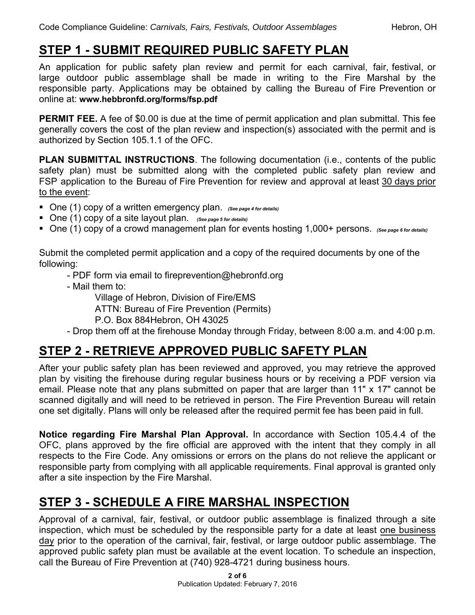# **STEP 1 - SUBMIT REQUIRED PUBLIC SAFETY PLAN**

An application for public safety plan review and permit for each carnival, fair, festival, or large outdoor public assemblage shall be made in writing to the Fire Marshal by the responsible party. Applications may be obtained by calling the Bureau of Fire Prevention or online at: **www.hebbronfd.o[rg/forms/fsp](http://www.fairfaxcounty.gov/fr/prevention/fmpublications/festivalappl.pdf).pdf**

**PERMIT FEE.** A fee of \$0.00 is due at the time of permit application and plan submittal. This fee generally covers the cost of the plan review and inspection(s) associated with the permit and is authorized by Section 105.1.1 of the OFC.

**PLAN SUBMITTAL INSTRUCTIONS**. The following documentation (i.e., contents of the public safety plan) must be submitted along with the completed public safety plan review and FSP application to the Bureau of Fire Prevention for review and approval at least 30 days prior to the event:

- One (1) copy of a written emergency plan. *(See page 4 for details)*
- One (1) copy of a site layout plan. *(See page 5 for details)*
- One (1) copy of a crowd management plan for events hosting 1,000+ persons. *(See page 6 for details)*

Submit the completed permit application and a copy of the required documents by one of the following:

- PDF form via email to fireprevention@hebronfd.org
- Mail them to:

Village of Hebron, Division of Fire/EMS

ATTN: Bureau of Fire Prevention (Permits)

- P.O. Box 884Hebron, OH 43025
- Drop them off at the firehouse Monday through Friday, between 8:00 a.m. and 4:00 p.m.

# **STEP 2 - RETRIEVE APPROVED PUBLIC SAFETY PLAN**

After your public safety plan has been reviewed and approved, you may retrieve the approved plan by visiting the firehouse during regular business hours or by receiving a PDF version via email. Please note that any plans submitted on paper that are larger than 11" x 17" cannot be scanned digitally and will need to be retrieved in person. The Fire Prevention Bureau will retain one set digitally. Plans will only be released after the required permit fee has been paid in full.

**Notice regarding Fire Marshal Plan Approval.** In accordance with Section 105.4.4 of the OFC, plans approved by the fire official are approved with the intent that they comply in all respects to the Fire Code. Any omissions or errors on the plans do not relieve the applicant or responsible party from complying with all applicable requirements. Final approval is granted only after a site inspection by the Fire Marshal.

# **STEP 3 - SCHEDULE A FIRE MARSHAL INSPECTION**

Approval of a carnival, fair, festival, or outdoor public assemblage is finalized through a site inspection, which must be scheduled by the responsible party for a date at least one business day prior to the operation of the carnival, fair, festival, or large outdoor public assemblage. The approved public safety plan must be available at the event location. To schedule an inspection, call the Bureau of Fire Prevention at (740) 928-4721 during business hours.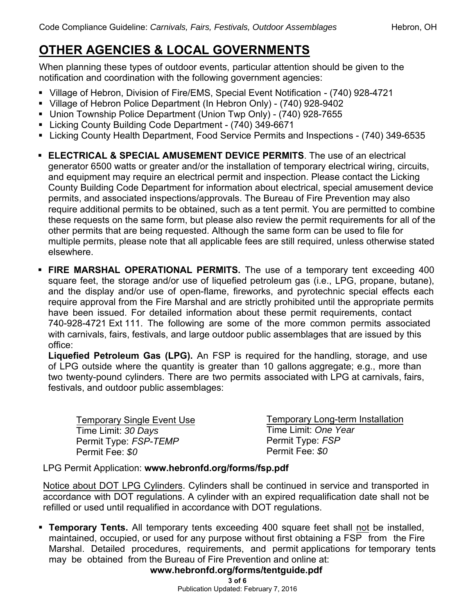# **OTHER AGENCIES & LOCAL GOVERNMENTS**

When planning these types of outdoor events, particular attention should be given to the notification and coordination with the following government agencies:

- Village of Hebron, Division of Fire/EMS, Special Event Notification (740) 928-4721
- Village of Hebron Police Department (In Hebron Only) (740) 928-9402
- Union Township Police Department (Union Twp Only) (740) 928-7655
- Licking County Building Code Department (740) 349-6671
- Licking County Health Department, Food Service Permits and Inspections (740) 349-6535
- **ELECTRICAL & SPECIAL AMUSEMENT DEVICE PERMITS**. The use of an electrical generator 6500 watts or greater and/or the installation of temporary electrical wiring, circuits, and equipment may require an electrical permit and inspection. Please contact the Licking County Building Code Department for information about electrical, special amusement device permits, and associated inspections/approvals. The Bureau of Fire Prevention may also require additional permits to be obtained, such as a tent permit. You are permitted to combine these requests on the same form, but please also review the permit requirements for all of the other permits that are being requested. Although the same form can be used to file for multiple permits, please note that all applicable fees are still required, unless otherwise stated elsewhere.
- **FIRE MARSHAL OPERATIONAL PERMITS.** The use of a temporary tent exceeding 400 square feet, the storage and/or use of liquefied petroleum gas (i.e., LPG, propane, butane), and the display and/or use of open-flame, fireworks, and pyrotechnic special effects each require approval from the Fire Marshal and are strictly prohibited until the appropriate permits have been issued. For detailed information about these permit requirements, contact 740-928-4721 Ext 111. The following are some of the more common permits associated with carnivals, fairs, festivals, and large outdoor public assemblages that are issued by this office:

**Liquefied Petroleum Gas (LPG).** An FSP is required for the handling, storage, and use of LPG outside where the quantity is greater than 10 gallons aggregate; e.g., more than two twenty-pound cylinders. There are two permits associated with LPG at carnivals, fairs, festivals, and outdoor public assemblages:

| <b>Temporary Single Event Use</b> | <b>Temporary Long-term Installation</b> |
|-----------------------------------|-----------------------------------------|
| Time Limit: 30 Days               | Time Limit: One Year                    |
| Permit Type: FSP-TEMP             | Permit Type: FSP                        |
| Permit Fee: \$0                   | Permit Fee: \$0                         |

LPG Permit Application: **www.hebronfd.org/forms/fsp.pdf** 

Notice about DOT LPG Cylinders. Cylinders shall be continued in service and transported in accordance with DOT regulations. A cylinder with an expired requalification date shall not be refilled or used until requalified in accordance with DOT regulations.

 **Temporary Tents.** All t[emporary tents exceeding 400 square feet shall not](http://www.fairfaxcounty.gov/fr/prevention/fmpublications/frd_069.pdf) be installed, maintained, occupied, or used for any purpose without first obtaining a FSP from the Fire Marshal. Detailed procedures, requirements, and permit applications for temporary tents may be obtained from the Bureau of Fire Prevention and online at:

### **www.hebronfd.org/forms/tentguide.pdf**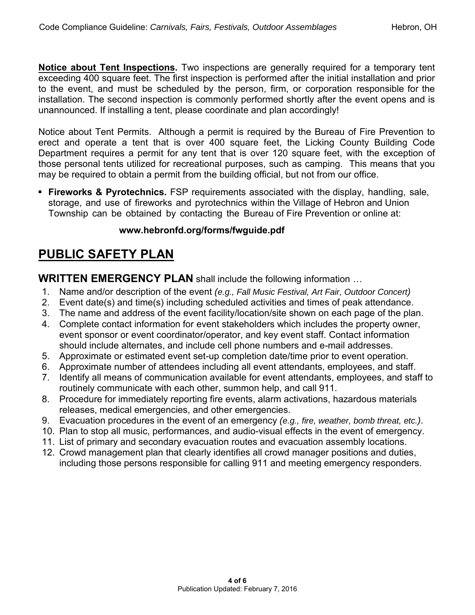**Notice about Tent Inspections.** Two inspections are generally required for a temporary tent exceeding 400 square feet. The first inspection is performed after the initial installation and prior to the event, and must be scheduled by the person, firm, or corporation responsible for the installation. T[he second inspection is commonly performed shortly after the event op](http://www.fairfaxcounty.gov/fr/prevention/fmpublications/tentguide.pdf)ens and is unannounced. If installing a tent, please coordinate and plan accordingly!

Notice about Tent Permits. Although a permit is required by the Bureau of Fire Prevention to erect and operate a tent that is over 400 square feet, the Licking County Building Code Department requires a permit for any tent that is over 120 square feet, with the exception of those personal tents utilized for recreational purposes, such as camping. This means that you may be required to obtain a permit from the building official, but not from our office.

 **Fireworks & Pyrotechnics.** FSP requirements associated with the display, handling, sale, storage, and use of fireworks and pyrotechnics within the Village of Hebron and Union Township can be obtained by contacting the Bureau of Fire Prevention or online at:

### **[www.hebronfd.org/forms/fwguide.pdf](http://www.fairfaxcounty.gov/fr/prevention/fmfireworks.htm)**

## **PUBLIC SAFETY PLAN**

**WRITTEN EMERGENCY PLAN** shall include the following information ...

- 1. Name and/or description of the event *(e.g., Fall Music Festival, Art Fair, Outdoor Concert)*
- 2. Event date(s) and time(s) including scheduled activities and times of peak attendance.
- 3. The name and address of the event facility/location/site shown on each page of the plan.
- 4. Complete contact information for event stakeholders which includes the property owner, event sponsor or event coordinator/operator, and key event staff. Contact information should include alternates, and include cell phone numbers and e-mail addresses.
- 5. Approximate or estimated event set-up completion date/time prior to event operation.
- 6. Approximate number of attendees including all event attendants, employees, and staff.
- 7. Identify all means of communication available for event attendants, employees, and staff to routinely communicate with each other, summon help, and call 911.
- 8. Procedure for immediately reporting fire events, alarm activations, hazardous materials releases, medical emergencies, and other emergencies.
- 9. Evacuation procedures in the event of an emergency *(e.g., fire, weather, bomb threat, etc.)*.
- 10. Plan to stop all music, performances, and audio-visual effects in the event of emergency.
- 11. List of primary and secondary evacuation routes and evacuation assembly locations.
- 12. Crowd management plan that clearly identifies all crowd manager positions and duties, including those persons responsible for calling 911 and meeting emergency responders.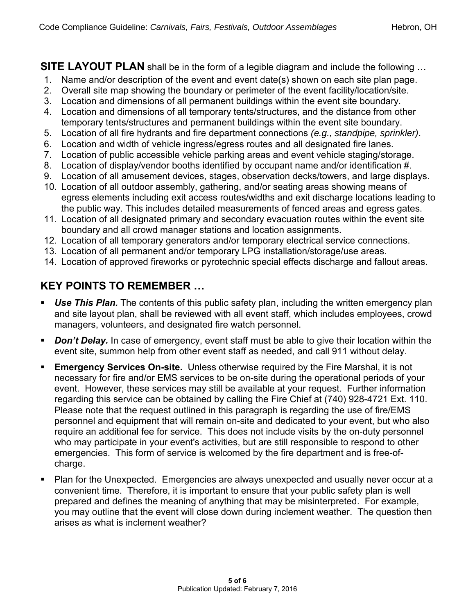**SITE LAYOUT PLAN** shall be in the form of a legible diagram and include the following ...

- 1. Name and/or description of the event and event date(s) shown on each site plan page.
- 2. Overall site map showing the boundary or perimeter of the event facility/location/site.
- 3. Location and dimensions of all permanent buildings within the event site boundary.
- 4. Location and dimensions of all temporary tents/structures, and the distance from other temporary tents/structures and permanent buildings within the event site boundary.
- 5. Location of all fire hydrants and fire department connections *(e.g., standpipe, sprinkler)*.
- 6. Location and width of vehicle ingress/egress routes and all designated fire lanes.
- 7. Location of public accessible vehicle parking areas and event vehicle staging/storage.
- 8. Location of display/vendor booths identified by occupant name and/or identification #.
- 9. Location of all amusement devices, stages, observation decks/towers, and large displays.
- 10. Location of all outdoor assembly, gathering, and/or seating areas showing means of egress elements including exit access routes/widths and exit discharge locations leading to the public way. This includes detailed measurements of fenced areas and egress gates.
- 11. Location of all designated primary and secondary evacuation routes within the event site boundary and all crowd manager stations and location assignments.
- 12. Location of all temporary generators and/or temporary electrical service connections.
- 13. Location of all permanent and/or temporary LPG installation/storage/use areas.
- 14. Location of approved fireworks or pyrotechnic special effects discharge and fallout areas.

### **KEY POINTS TO REMEMBER …**

- **Use This Plan.** The contents of this public safety plan, including the written emergency plan and site layout plan, shall be reviewed with all event staff, which includes employees, crowd managers, volunteers, and designated fire watch personnel.
- **Don't Delay.** In case of emergency, event staff must be able to give their location within the event site, summon help from other event staff as needed, and call 911 without delay.
- **Emergency Services On-site.** Unless otherwise required by the Fire Marshal, it is not necessary for fire and/or EMS services to be on-site during the operational periods of your event. However, these services may still be available at your request. Further information regarding this service can be obtained by calling the Fire Chief at (740) 928-4721 Ext. 110. Please note that the request outlined in this paragraph is regarding the use of fire/EMS personnel and equipment that will remain on-site and dedicated to your event, but who also require an additional fee for service. This does not include visits by the on-duty personnel who may participate in your event's activities, but are still responsible to respond to other emergencies. This form of service is welcomed by the fire department and is free-ofcharge.
- Plan for the Unexpected. Emergencies are always unexpected and usually never occur at a convenient time. Therefore, it is important to ensure that your public safety plan is well prepared and defines the meaning of anything that may be misinterpreted. For example, you may outline that the event will close down during inclement weather. The question then arises as what is inclement weather?